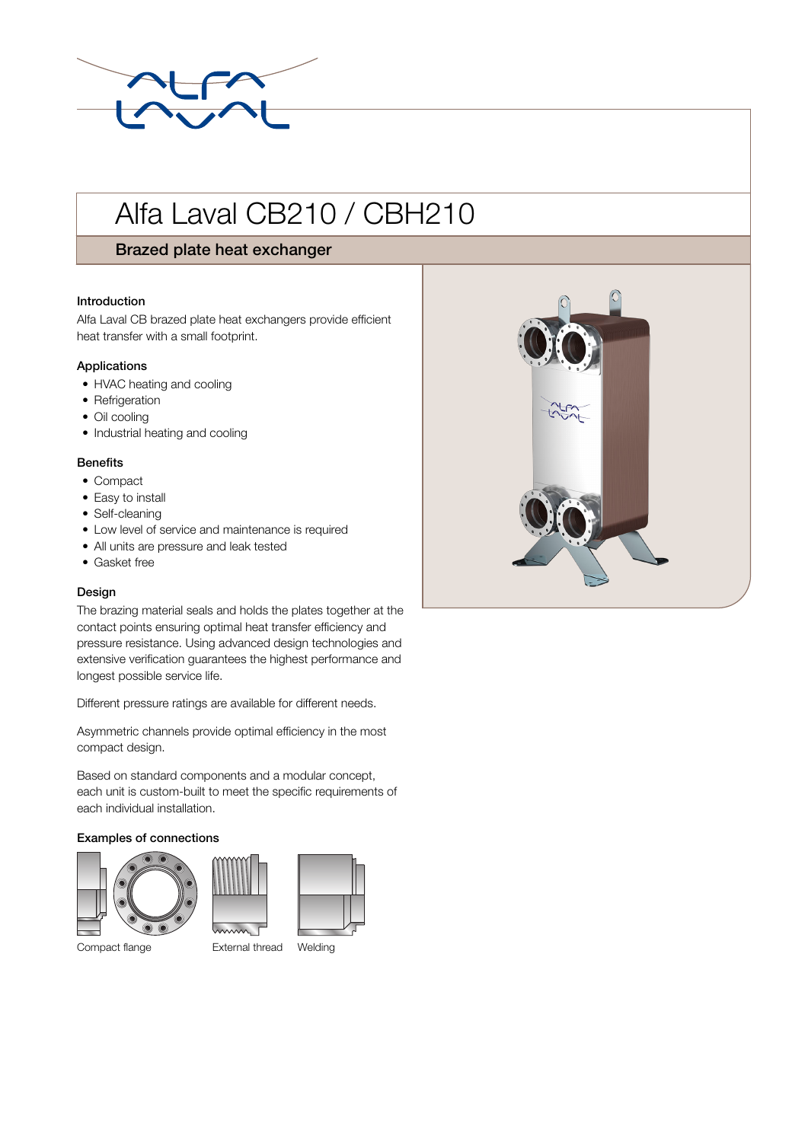

# Alfa Laval CB210 / CBH210

# Brazed plate heat exchanger

#### Introduction

Alfa Laval CB brazed plate heat exchangers provide efficient heat transfer with a small footprint.

#### Applications

- HVAC heating and cooling
- Refrigeration
- Oil cooling
- Industrial heating and cooling

#### **Benefits**

- Compact
- Easy to install
- Self-cleaning
- Low level of service and maintenance is required
- All units are pressure and leak tested
- Gasket free

### Design

The brazing material seals and holds the plates together at the contact points ensuring optimal heat transfer efficiency and pressure resistance. Using advanced design technologies and extensive verification guarantees the highest performance and longest possible service life.

Different pressure ratings are available for different needs.

Asymmetric channels provide optimal efficiency in the most compact design.

Based on standard components and a modular concept, each unit is custom-built to meet the specific requirements of each individual installation.

#### Examples of connections





Compact flange External thread Welding